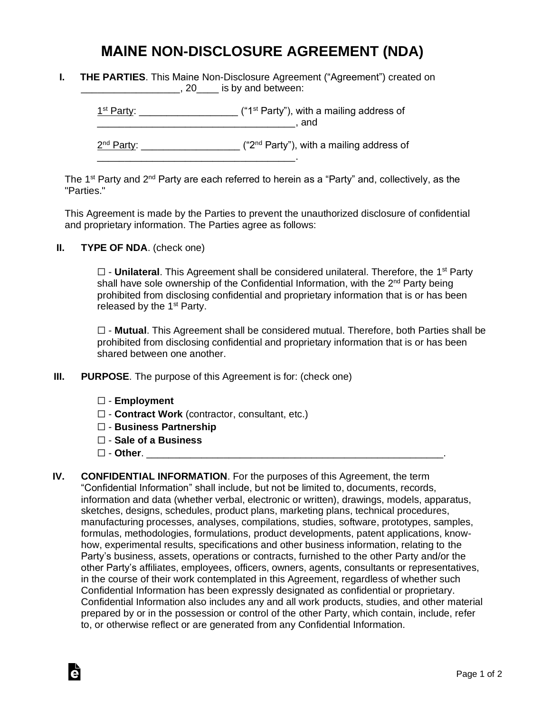## **MAINE NON-DISCLOSURE AGREEMENT (NDA)**

| <b>THE PARTIES.</b> This Maine Non-Disclosure Agreement ("Agreement") created on |
|----------------------------------------------------------------------------------|
| $, 20$ is by and between:                                                        |

 $1<sup>st</sup> Party: _______$  $\blacksquare$  and  $\blacksquare$ 

2<sup>nd</sup> Party: \_\_\_\_\_\_\_\_\_\_\_\_\_\_\_\_\_\_\_\_ ("2<sup>nd</sup> Party"), with a mailing address of

The 1<sup>st</sup> Party and 2<sup>nd</sup> Party are each referred to herein as a "Party" and, collectively, as the "Parties."

This Agreement is made by the Parties to prevent the unauthorized disclosure of confidential and proprietary information. The Parties agree as follows:

**II. TYPE OF NDA**. (check one)

□ - **Unilateral**. This Agreement shall be considered unilateral. Therefore, the 1<sup>st</sup> Party shall have sole ownership of the Confidential Information, with the 2<sup>nd</sup> Party being prohibited from disclosing confidential and proprietary information that is or has been released by the  $1<sup>st</sup>$  Party.

☐ - **Mutual**. This Agreement shall be considered mutual. Therefore, both Parties shall be prohibited from disclosing confidential and proprietary information that is or has been shared between one another.

**III. PURPOSE**. The purpose of this Agreement is for: (check one)

\_\_\_\_\_\_\_\_\_\_\_\_\_\_\_\_\_\_\_\_\_\_\_\_\_\_\_\_\_\_\_\_\_\_\_\_.

- ☐ **Employment**
- ☐ **Contract Work** (contractor, consultant, etc.)
- ☐ **Business Partnership**
- ☐ **Sale of a Business**
- ☐ **Other**. \_\_\_\_\_\_\_\_\_\_\_\_\_\_\_\_\_\_\_\_\_\_\_\_\_\_\_\_\_\_\_\_\_\_\_\_\_\_\_\_\_\_\_\_\_\_\_\_\_\_\_\_\_\_.

Ġ

**IV. CONFIDENTIAL INFORMATION**. For the purposes of this Agreement, the term "Confidential Information" shall include, but not be limited to, documents, records, information and data (whether verbal, electronic or written), drawings, models, apparatus, sketches, designs, schedules, product plans, marketing plans, technical procedures, manufacturing processes, analyses, compilations, studies, software, prototypes, samples, formulas, methodologies, formulations, product developments, patent applications, knowhow, experimental results, specifications and other business information, relating to the Party's business, assets, operations or contracts, furnished to the other Party and/or the other Party's affiliates, employees, officers, owners, agents, consultants or representatives, in the course of their work contemplated in this Agreement, regardless of whether such Confidential Information has been expressly designated as confidential or proprietary. Confidential Information also includes any and all work products, studies, and other material prepared by or in the possession or control of the other Party, which contain, include, refer to, or otherwise reflect or are generated from any Confidential Information.